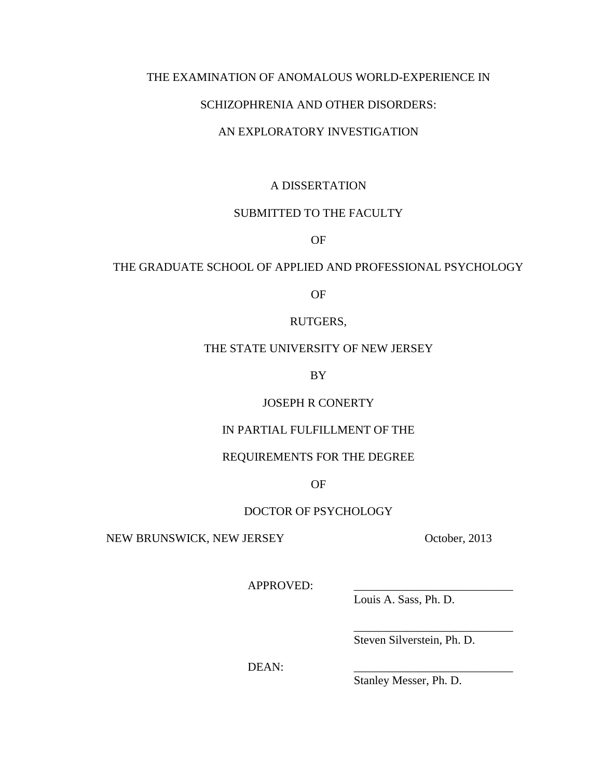# THE EXAMINATION OF ANOMALOUS WORLD-EXPERIENCE IN

### SCHIZOPHRENIA AND OTHER DISORDERS:

# AN EXPLORATORY INVESTIGATION

# A DISSERTATION

# SUBMITTED TO THE FACULTY

OF

# THE GRADUATE SCHOOL OF APPLIED AND PROFESSIONAL PSYCHOLOGY

OF

### RUTGERS,

# THE STATE UNIVERSITY OF NEW JERSEY

BY

# JOSEPH R CONERTY

# IN PARTIAL FULFILLMENT OF THE

# REQUIREMENTS FOR THE DEGREE

OF

# DOCTOR OF PSYCHOLOGY

NEW BRUNSWICK, NEW JERSEY October, 2013

APPROVED:

Louis A. Sass, Ph. D.

Steven Silverstein, Ph. D.

\_\_\_\_\_\_\_\_\_\_\_\_\_\_\_\_\_\_\_\_\_\_\_\_\_\_\_

DEAN:

Stanley Messer, Ph. D.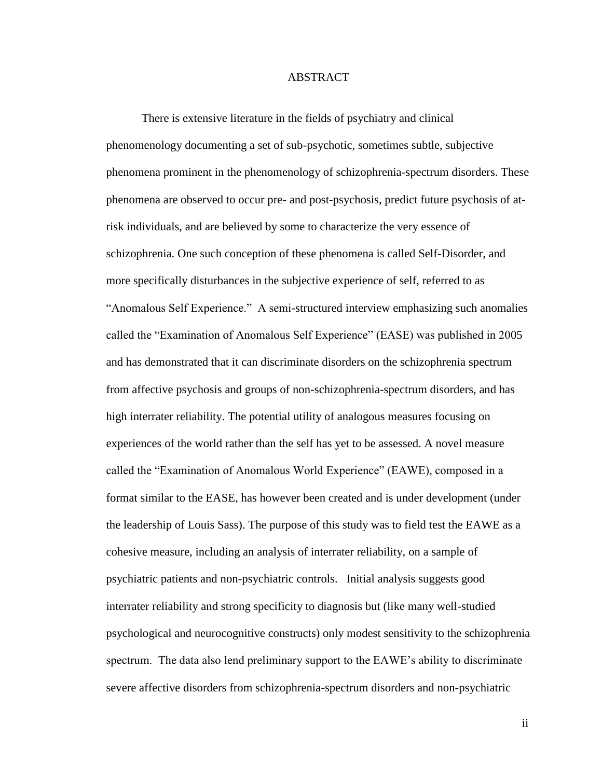### ABSTRACT

There is extensive literature in the fields of psychiatry and clinical phenomenology documenting a set of sub-psychotic, sometimes subtle, subjective phenomena prominent in the phenomenology of schizophrenia-spectrum disorders. These phenomena are observed to occur pre- and post-psychosis, predict future psychosis of atrisk individuals, and are believed by some to characterize the very essence of schizophrenia. One such conception of these phenomena is called Self-Disorder, and more specifically disturbances in the subjective experience of self, referred to as "Anomalous Self Experience." A semi-structured interview emphasizing such anomalies called the "Examination of Anomalous Self Experience" (EASE) was published in 2005 and has demonstrated that it can discriminate disorders on the schizophrenia spectrum from affective psychosis and groups of non-schizophrenia-spectrum disorders, and has high interrater reliability. The potential utility of analogous measures focusing on experiences of the world rather than the self has yet to be assessed. A novel measure called the "Examination of Anomalous World Experience" (EAWE), composed in a format similar to the EASE, has however been created and is under development (under the leadership of Louis Sass). The purpose of this study was to field test the EAWE as a cohesive measure, including an analysis of interrater reliability, on a sample of psychiatric patients and non-psychiatric controls. Initial analysis suggests good interrater reliability and strong specificity to diagnosis but (like many well-studied psychological and neurocognitive constructs) only modest sensitivity to the schizophrenia spectrum. The data also lend preliminary support to the EAWE's ability to discriminate severe affective disorders from schizophrenia-spectrum disorders and non-psychiatric

ii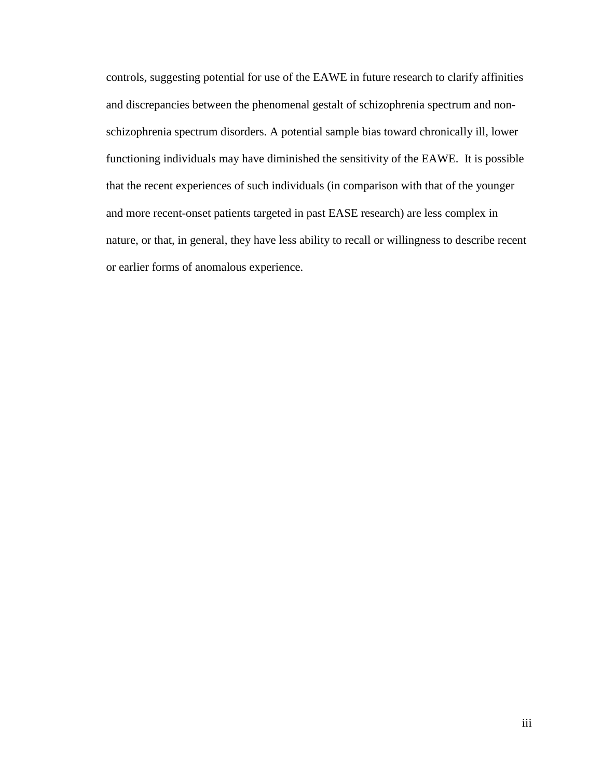controls, suggesting potential for use of the EAWE in future research to clarify affinities and discrepancies between the phenomenal gestalt of schizophrenia spectrum and nonschizophrenia spectrum disorders. A potential sample bias toward chronically ill, lower functioning individuals may have diminished the sensitivity of the EAWE. It is possible that the recent experiences of such individuals (in comparison with that of the younger and more recent-onset patients targeted in past EASE research) are less complex in nature, or that, in general, they have less ability to recall or willingness to describe recent or earlier forms of anomalous experience.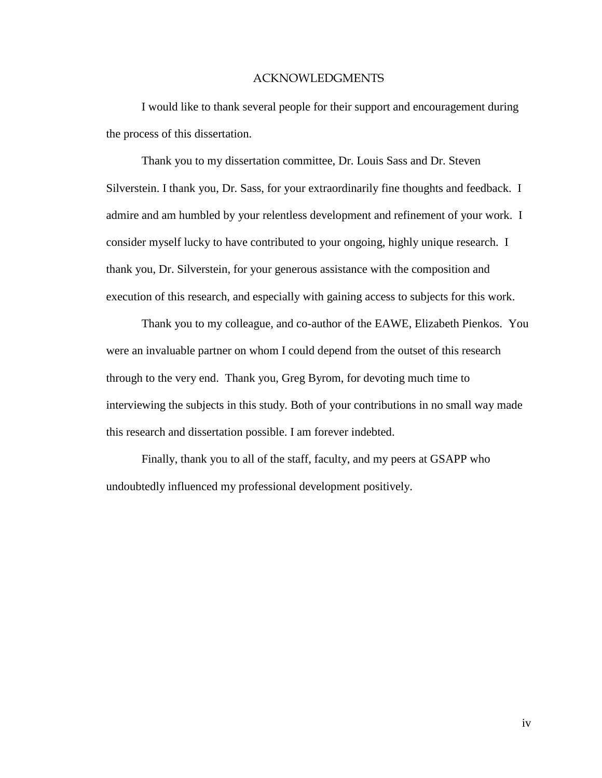### ACKNOWLEDGMENTS

I would like to thank several people for their support and encouragement during the process of this dissertation.

Thank you to my dissertation committee, Dr. Louis Sass and Dr. Steven Silverstein. I thank you, Dr. Sass, for your extraordinarily fine thoughts and feedback. I admire and am humbled by your relentless development and refinement of your work. I consider myself lucky to have contributed to your ongoing, highly unique research. I thank you, Dr. Silverstein, for your generous assistance with the composition and execution of this research, and especially with gaining access to subjects for this work.

Thank you to my colleague, and co-author of the EAWE, Elizabeth Pienkos. You were an invaluable partner on whom I could depend from the outset of this research through to the very end. Thank you, Greg Byrom, for devoting much time to interviewing the subjects in this study. Both of your contributions in no small way made this research and dissertation possible. I am forever indebted.

Finally, thank you to all of the staff, faculty, and my peers at GSAPP who undoubtedly influenced my professional development positively.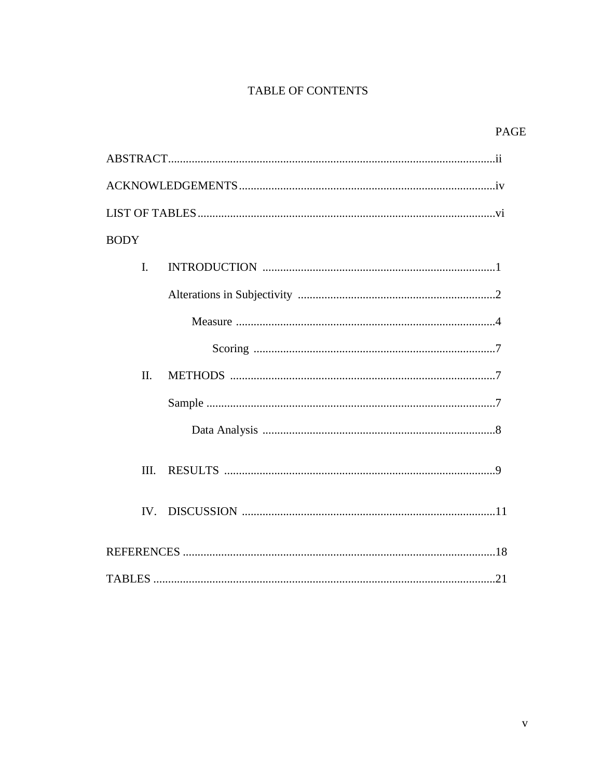# TABLE OF CONTENTS

| <b>BODY</b> |  |  |  |
|-------------|--|--|--|
| I.          |  |  |  |
|             |  |  |  |
|             |  |  |  |
|             |  |  |  |
| II.         |  |  |  |
|             |  |  |  |
|             |  |  |  |
| III.        |  |  |  |
|             |  |  |  |
|             |  |  |  |
|             |  |  |  |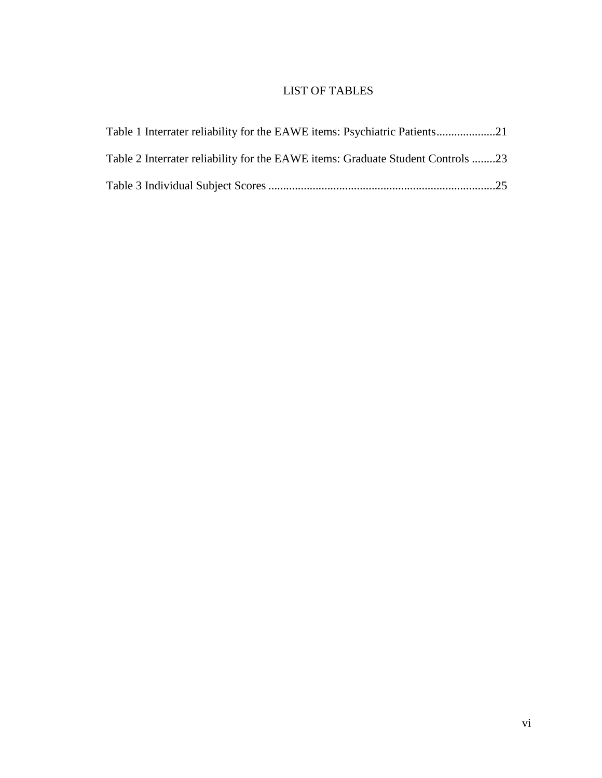# LIST OF TABLES

| Table 1 Interrater reliability for the EAWE items: Psychiatric Patients         |  |
|---------------------------------------------------------------------------------|--|
| Table 2 Interrater reliability for the EAWE items: Graduate Student Controls 23 |  |
|                                                                                 |  |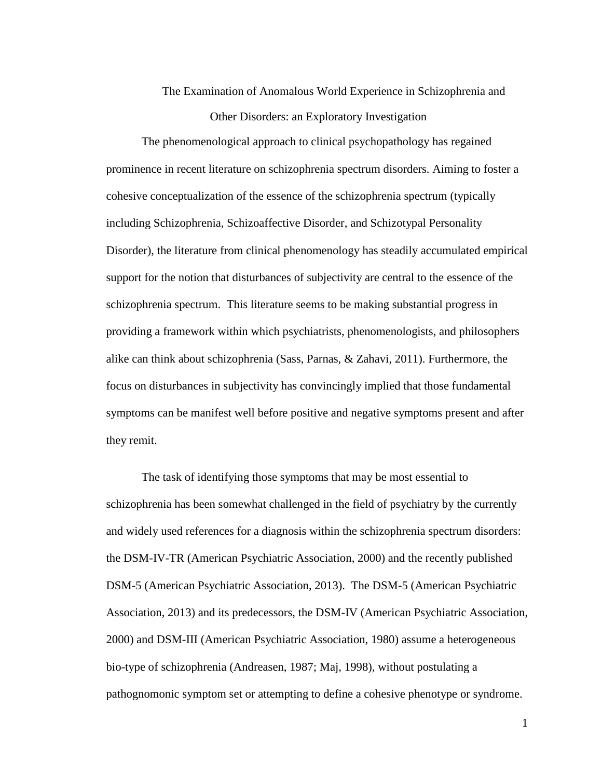# The Examination of Anomalous World Experience in Schizophrenia and Other Disorders: an Exploratory Investigation

The phenomenological approach to clinical psychopathology has regained prominence in recent literature on schizophrenia spectrum disorders. Aiming to foster a cohesive conceptualization of the essence of the schizophrenia spectrum (typically including Schizophrenia, Schizoaffective Disorder, and Schizotypal Personality Disorder), the literature from clinical phenomenology has steadily accumulated empirical support for the notion that disturbances of subjectivity are central to the essence of the schizophrenia spectrum. This literature seems to be making substantial progress in providing a framework within which psychiatrists, phenomenologists, and philosophers alike can think about schizophrenia (Sass, Parnas, & Zahavi, 2011). Furthermore, the focus on disturbances in subjectivity has convincingly implied that those fundamental symptoms can be manifest well before positive and negative symptoms present and after they remit.

The task of identifying those symptoms that may be most essential to schizophrenia has been somewhat challenged in the field of psychiatry by the currently and widely used references for a diagnosis within the schizophrenia spectrum disorders: the DSM-IV-TR (American Psychiatric Association, 2000) and the recently published DSM-5 (American Psychiatric Association, 2013). The DSM-5 (American Psychiatric Association, 2013) and its predecessors, the DSM-IV (American Psychiatric Association, 2000) and DSM-III (American Psychiatric Association, 1980) assume a heterogeneous bio-type of schizophrenia (Andreasen, 1987; Maj, 1998), without postulating a pathognomonic symptom set or attempting to define a cohesive phenotype or syndrome.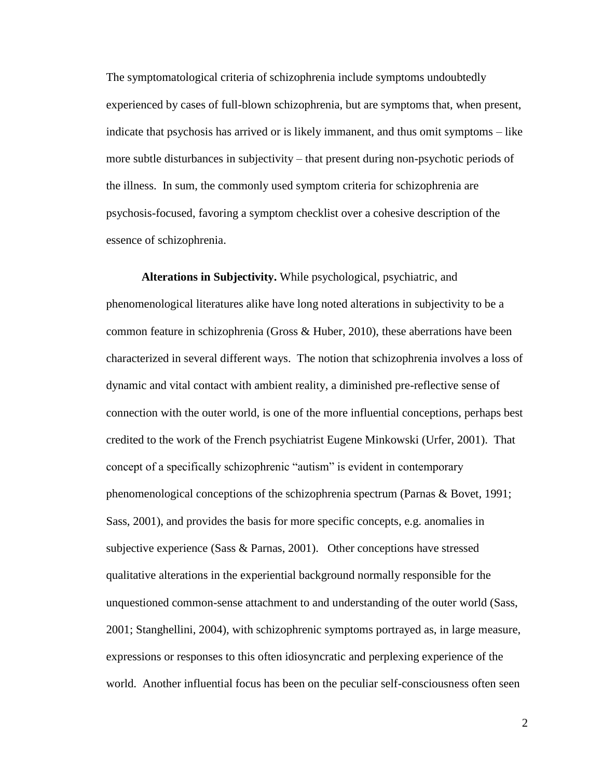The symptomatological criteria of schizophrenia include symptoms undoubtedly experienced by cases of full-blown schizophrenia, but are symptoms that, when present, indicate that psychosis has arrived or is likely immanent, and thus omit symptoms – like more subtle disturbances in subjectivity – that present during non-psychotic periods of the illness. In sum, the commonly used symptom criteria for schizophrenia are psychosis-focused, favoring a symptom checklist over a cohesive description of the essence of schizophrenia.

**Alterations in Subjectivity.** While psychological, psychiatric, and phenomenological literatures alike have long noted alterations in subjectivity to be a common feature in schizophrenia (Gross & Huber, 2010), these aberrations have been characterized in several different ways. The notion that schizophrenia involves a loss of dynamic and vital contact with ambient reality, a diminished pre-reflective sense of connection with the outer world, is one of the more influential conceptions, perhaps best credited to the work of the French psychiatrist Eugene Minkowski (Urfer, 2001). That concept of a specifically schizophrenic "autism" is evident in contemporary phenomenological conceptions of the schizophrenia spectrum (Parnas & Bovet, 1991; Sass, 2001), and provides the basis for more specific concepts, e.g. anomalies in subjective experience (Sass & Parnas, 2001). Other conceptions have stressed qualitative alterations in the experiential background normally responsible for the unquestioned common-sense attachment to and understanding of the outer world (Sass, 2001; Stanghellini, 2004), with schizophrenic symptoms portrayed as, in large measure, expressions or responses to this often idiosyncratic and perplexing experience of the world. Another influential focus has been on the peculiar self-consciousness often seen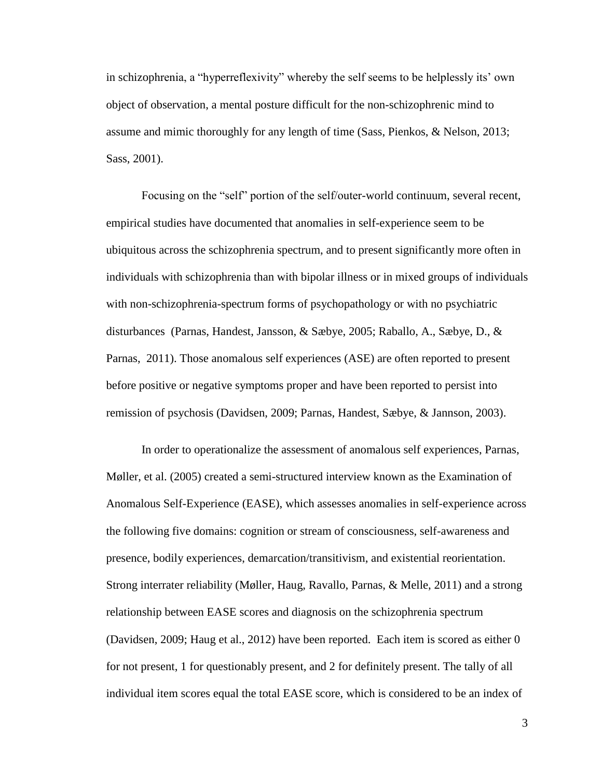in schizophrenia, a "hyperreflexivity" whereby the self seems to be helplessly its' own object of observation, a mental posture difficult for the non-schizophrenic mind to assume and mimic thoroughly for any length of time (Sass, Pienkos, & Nelson, 2013; Sass, 2001).

Focusing on the "self" portion of the self/outer-world continuum, several recent, empirical studies have documented that anomalies in self-experience seem to be ubiquitous across the schizophrenia spectrum, and to present significantly more often in individuals with schizophrenia than with bipolar illness or in mixed groups of individuals with non-schizophrenia-spectrum forms of psychopathology or with no psychiatric disturbances (Parnas, Handest, Jansson, & Sæbye, 2005; Raballo, A., Sæbye, D., & Parnas, 2011). Those anomalous self experiences (ASE) are often reported to present before positive or negative symptoms proper and have been reported to persist into remission of psychosis (Davidsen, 2009; Parnas, Handest, Sæbye, & Jannson, 2003).

In order to operationalize the assessment of anomalous self experiences, Parnas, Møller, et al. (2005) created a semi-structured interview known as the Examination of Anomalous Self-Experience (EASE), which assesses anomalies in self-experience across the following five domains: cognition or stream of consciousness, self-awareness and presence, bodily experiences, demarcation/transitivism, and existential reorientation. Strong interrater reliability (Møller, Haug, Ravallo, Parnas, & Melle, 2011) and a strong relationship between EASE scores and diagnosis on the schizophrenia spectrum (Davidsen, 2009; Haug et al., 2012) have been reported. Each item is scored as either 0 for not present, 1 for questionably present, and 2 for definitely present. The tally of all individual item scores equal the total EASE score, which is considered to be an index of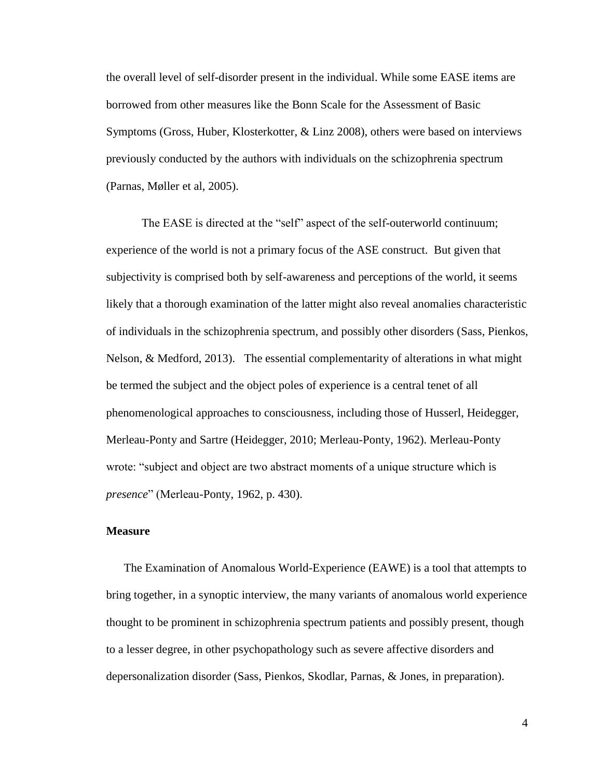the overall level of self-disorder present in the individual. While some EASE items are borrowed from other measures like the Bonn Scale for the Assessment of Basic Symptoms (Gross, Huber, Klosterkotter, & Linz 2008), others were based on interviews previously conducted by the authors with individuals on the schizophrenia spectrum (Parnas, Møller et al, 2005).

The EASE is directed at the "self" aspect of the self-outerworld continuum; experience of the world is not a primary focus of the ASE construct. But given that subjectivity is comprised both by self-awareness and perceptions of the world, it seems likely that a thorough examination of the latter might also reveal anomalies characteristic of individuals in the schizophrenia spectrum, and possibly other disorders (Sass, Pienkos, Nelson, & Medford, 2013). The essential complementarity of alterations in what might be termed the subject and the object poles of experience is a central tenet of all phenomenological approaches to consciousness, including those of Husserl, Heidegger, Merleau-Ponty and Sartre (Heidegger, 2010; Merleau-Ponty, 1962). Merleau-Ponty wrote: "subject and object are two abstract moments of a unique structure which is *presence*" (Merleau-Ponty, 1962, p. 430).

### **Measure**

The Examination of Anomalous World-Experience (EAWE) is a tool that attempts to bring together, in a synoptic interview, the many variants of anomalous world experience thought to be prominent in schizophrenia spectrum patients and possibly present, though to a lesser degree, in other psychopathology such as severe affective disorders and depersonalization disorder (Sass, Pienkos, Skodlar, Parnas, & Jones, in preparation).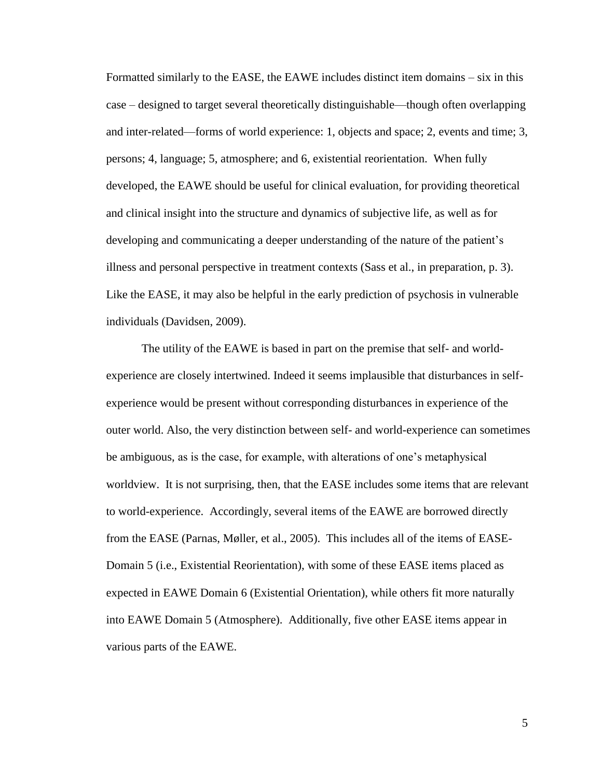Formatted similarly to the EASE, the EAWE includes distinct item domains – six in this case – designed to target several theoretically distinguishable—though often overlapping and inter-related—forms of world experience: 1, objects and space; 2, events and time; 3, persons; 4, language; 5, atmosphere; and 6, existential reorientation. When fully developed, the EAWE should be useful for clinical evaluation, for providing theoretical and clinical insight into the structure and dynamics of subjective life, as well as for developing and communicating a deeper understanding of the nature of the patient's illness and personal perspective in treatment contexts (Sass et al., in preparation, p. 3). Like the EASE, it may also be helpful in the early prediction of psychosis in vulnerable individuals (Davidsen, 2009).

The utility of the EAWE is based in part on the premise that self- and worldexperience are closely intertwined. Indeed it seems implausible that disturbances in selfexperience would be present without corresponding disturbances in experience of the outer world. Also, the very distinction between self- and world-experience can sometimes be ambiguous, as is the case, for example, with alterations of one's metaphysical worldview. It is not surprising, then, that the EASE includes some items that are relevant to world-experience. Accordingly, several items of the EAWE are borrowed directly from the EASE (Parnas, Møller, et al., 2005). This includes all of the items of EASE-Domain 5 (i.e., Existential Reorientation), with some of these EASE items placed as expected in EAWE Domain 6 (Existential Orientation), while others fit more naturally into EAWE Domain 5 (Atmosphere). Additionally, five other EASE items appear in various parts of the EAWE.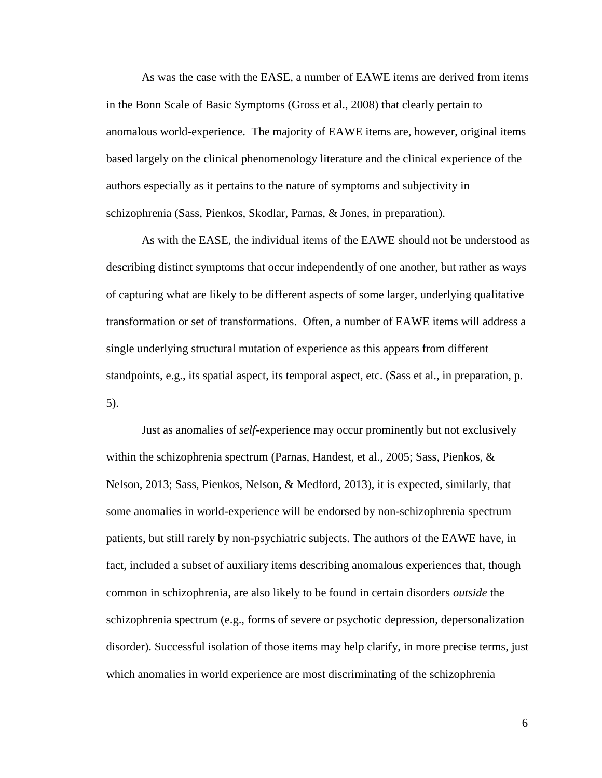As was the case with the EASE, a number of EAWE items are derived from items in the Bonn Scale of Basic Symptoms (Gross et al., 2008) that clearly pertain to anomalous world-experience. The majority of EAWE items are, however, original items based largely on the clinical phenomenology literature and the clinical experience of the authors especially as it pertains to the nature of symptoms and subjectivity in schizophrenia (Sass, Pienkos, Skodlar, Parnas, & Jones, in preparation).

As with the EASE, the individual items of the EAWE should not be understood as describing distinct symptoms that occur independently of one another, but rather as ways of capturing what are likely to be different aspects of some larger, underlying qualitative transformation or set of transformations. Often, a number of EAWE items will address a single underlying structural mutation of experience as this appears from different standpoints, e.g., its spatial aspect, its temporal aspect, etc. (Sass et al., in preparation, p. 5).

Just as anomalies of *self*-experience may occur prominently but not exclusively within the schizophrenia spectrum (Parnas, Handest, et al., 2005; Sass, Pienkos, & Nelson, 2013; Sass, Pienkos, Nelson, & Medford, 2013), it is expected, similarly, that some anomalies in world-experience will be endorsed by non-schizophrenia spectrum patients, but still rarely by non-psychiatric subjects. The authors of the EAWE have, in fact, included a subset of auxiliary items describing anomalous experiences that, though common in schizophrenia, are also likely to be found in certain disorders *outside* the schizophrenia spectrum (e.g., forms of severe or psychotic depression, depersonalization disorder). Successful isolation of those items may help clarify, in more precise terms, just which anomalies in world experience are most discriminating of the schizophrenia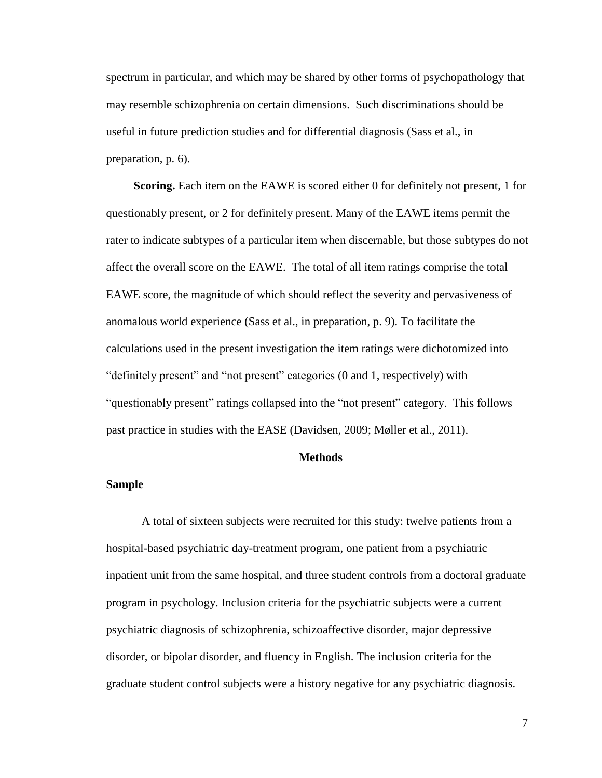spectrum in particular, and which may be shared by other forms of psychopathology that may resemble schizophrenia on certain dimensions. Such discriminations should be useful in future prediction studies and for differential diagnosis (Sass et al., in preparation, p. 6).

**Scoring.** Each item on the EAWE is scored either 0 for definitely not present, 1 for questionably present, or 2 for definitely present. Many of the EAWE items permit the rater to indicate subtypes of a particular item when discernable, but those subtypes do not affect the overall score on the EAWE. The total of all item ratings comprise the total EAWE score, the magnitude of which should reflect the severity and pervasiveness of anomalous world experience (Sass et al., in preparation, p. 9). To facilitate the calculations used in the present investigation the item ratings were dichotomized into "definitely present" and "not present" categories (0 and 1, respectively) with "questionably present" ratings collapsed into the "not present" category. This follows past practice in studies with the EASE (Davidsen, 2009; Møller et al., 2011).

### **Methods**

#### **Sample**

A total of sixteen subjects were recruited for this study: twelve patients from a hospital-based psychiatric day-treatment program, one patient from a psychiatric inpatient unit from the same hospital, and three student controls from a doctoral graduate program in psychology. Inclusion criteria for the psychiatric subjects were a current psychiatric diagnosis of schizophrenia, schizoaffective disorder, major depressive disorder, or bipolar disorder, and fluency in English. The inclusion criteria for the graduate student control subjects were a history negative for any psychiatric diagnosis.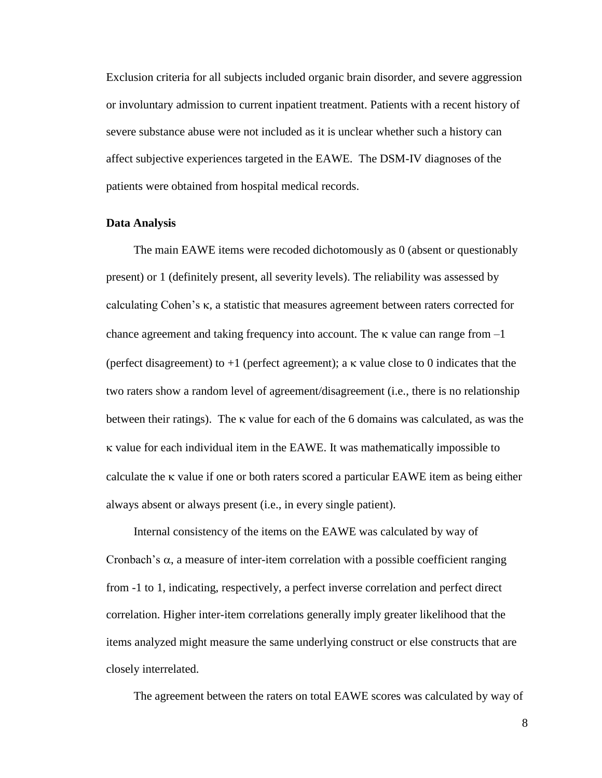Exclusion criteria for all subjects included organic brain disorder, and severe aggression or involuntary admission to current inpatient treatment. Patients with a recent history of severe substance abuse were not included as it is unclear whether such a history can affect subjective experiences targeted in the EAWE. The DSM-IV diagnoses of the patients were obtained from hospital medical records.

### **Data Analysis**

The main EAWE items were recoded dichotomously as 0 (absent or questionably present) or 1 (definitely present, all severity levels). The reliability was assessed by calculating Cohen's  $\kappa$ , a statistic that measures agreement between raters corrected for chance agreement and taking frequency into account. The  $\kappa$  value can range from  $-1$ (perfect disagreement) to  $+1$  (perfect agreement); a  $\kappa$  value close to 0 indicates that the two raters show a random level of agreement/disagreement (i.e., there is no relationship between their ratings). The  $\kappa$  value for each of the 6 domains was calculated, as was the value for each individual item in the EAWE. It was mathematically impossible to calculate the  $\kappa$  value if one or both raters scored a particular EAWE item as being either always absent or always present (i.e., in every single patient).

Internal consistency of the items on the EAWE was calculated by way of Cronbach's  $\alpha$ , a measure of inter-item correlation with a possible coefficient ranging from -1 to 1, indicating, respectively, a perfect inverse correlation and perfect direct correlation. Higher inter-item correlations generally imply greater likelihood that the items analyzed might measure the same underlying construct or else constructs that are closely interrelated.

The agreement between the raters on total EAWE scores was calculated by way of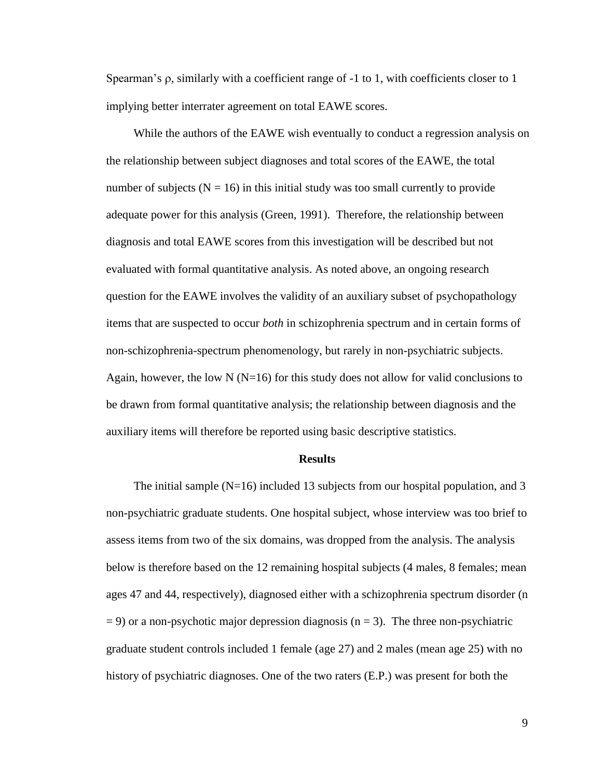Spearman's  $\rho$ , similarly with a coefficient range of -1 to 1, with coefficients closer to 1 implying better interrater agreement on total EAWE scores.

While the authors of the EAWE wish eventually to conduct a regression analysis on the relationship between subject diagnoses and total scores of the EAWE, the total number of subjects ( $N = 16$ ) in this initial study was too small currently to provide adequate power for this analysis (Green, 1991). Therefore, the relationship between diagnosis and total EAWE scores from this investigation will be described but not evaluated with formal quantitative analysis. As noted above, an ongoing research question for the EAWE involves the validity of an auxiliary subset of psychopathology items that are suspected to occur *both* in schizophrenia spectrum and in certain forms of non-schizophrenia-spectrum phenomenology, but rarely in non-psychiatric subjects. Again, however, the low N ( $N=16$ ) for this study does not allow for valid conclusions to be drawn from formal quantitative analysis; the relationship between diagnosis and the auxiliary items will therefore be reported using basic descriptive statistics.

#### **Results**

The initial sample  $(N=16)$  included 13 subjects from our hospital population, and 3 non-psychiatric graduate students. One hospital subject, whose interview was too brief to assess items from two of the six domains, was dropped from the analysis. The analysis below is therefore based on the 12 remaining hospital subjects (4 males, 8 females; mean ages 47 and 44, respectively), diagnosed either with a schizophrenia spectrum disorder (n  $= 9$ ) or a non-psychotic major depression diagnosis (n = 3). The three non-psychiatric graduate student controls included 1 female (age 27) and 2 males (mean age 25) with no history of psychiatric diagnoses. One of the two raters (E.P.) was present for both the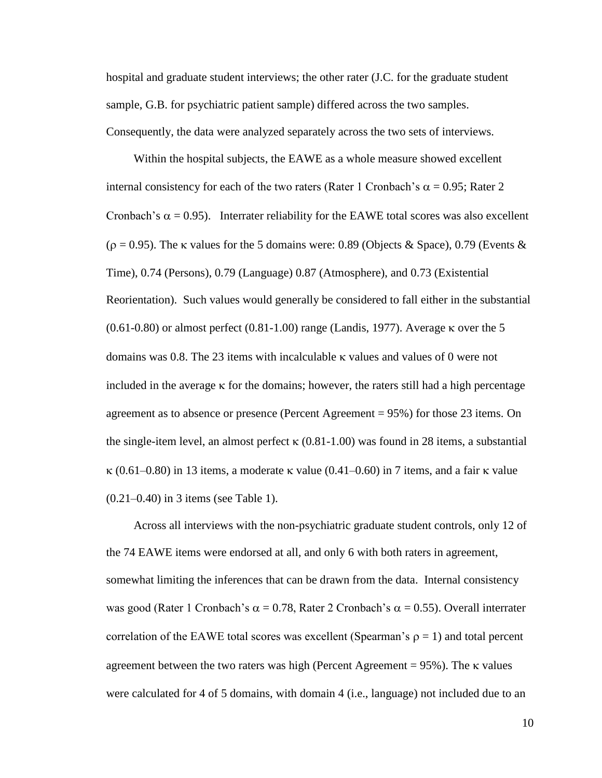hospital and graduate student interviews; the other rater (J.C. for the graduate student sample, G.B. for psychiatric patient sample) differed across the two samples. Consequently, the data were analyzed separately across the two sets of interviews.

Within the hospital subjects, the EAWE as a whole measure showed excellent internal consistency for each of the two raters (Rater 1 Cronbach's  $\alpha$  = 0.95; Rater 2 Cronbach's  $\alpha = 0.95$ ). Interrater reliability for the EAWE total scores was also excellent  $(\rho = 0.95)$ . The k values for the 5 domains were: 0.89 (Objects & Space), 0.79 (Events & Time), 0.74 (Persons), 0.79 (Language) 0.87 (Atmosphere), and 0.73 (Existential Reorientation). Such values would generally be considered to fall either in the substantial  $(0.61-0.80)$  or almost perfect  $(0.81-1.00)$  range (Landis, 1977). Average  $\kappa$  over the 5 domains was 0.8. The 23 items with incalculable  $\kappa$  values and values of 0 were not included in the average  $\kappa$  for the domains; however, the raters still had a high percentage agreement as to absence or presence (Percent Agreement = 95%) for those 23 items. On the single-item level, an almost perfect  $\kappa$  (0.81-1.00) was found in 28 items, a substantial  $\kappa$  (0.61–0.80) in 13 items, a moderate  $\kappa$  value (0.41–0.60) in 7 items, and a fair  $\kappa$  value (0.21–0.40) in 3 items (see Table 1).

Across all interviews with the non-psychiatric graduate student controls, only 12 of the 74 EAWE items were endorsed at all, and only 6 with both raters in agreement, somewhat limiting the inferences that can be drawn from the data. Internal consistency was good (Rater 1 Cronbach's  $\alpha = 0.78$ , Rater 2 Cronbach's  $\alpha = 0.55$ ). Overall interrater correlation of the EAWE total scores was excellent (Spearman's  $\rho = 1$ ) and total percent agreement between the two raters was high (Percent Agreement  $= 95\%$ ). The  $\kappa$  values were calculated for 4 of 5 domains, with domain 4 (i.e., language) not included due to an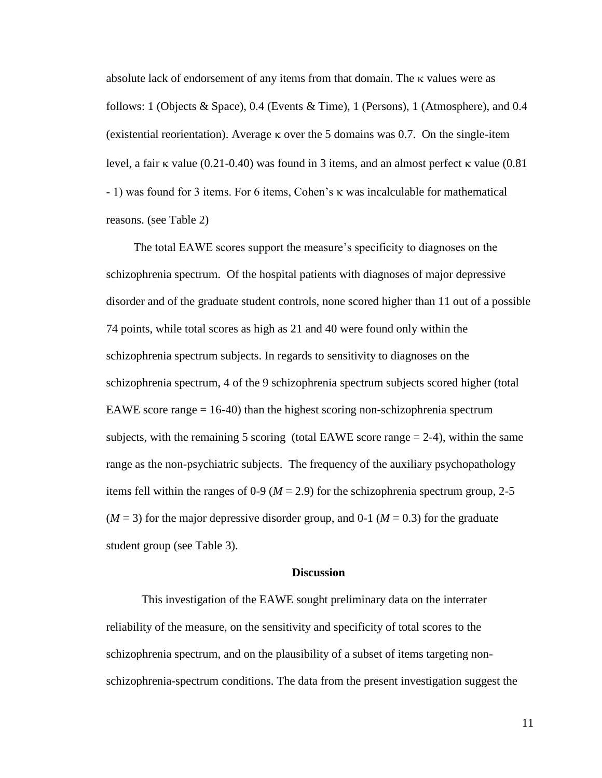absolute lack of endorsement of any items from that domain. The  $\kappa$  values were as follows: 1 (Objects & Space), 0.4 (Events & Time), 1 (Persons), 1 (Atmosphere), and 0.4 (existential reorientation). Average  $\kappa$  over the 5 domains was 0.7. On the single-item level, a fair  $\kappa$  value (0.21-0.40) was found in 3 items, and an almost perfect  $\kappa$  value (0.81) - 1) was found for 3 items. For 6 items, Cohen's was incalculable for mathematical reasons. (see Table 2)

The total EAWE scores support the measure's specificity to diagnoses on the schizophrenia spectrum. Of the hospital patients with diagnoses of major depressive disorder and of the graduate student controls, none scored higher than 11 out of a possible 74 points, while total scores as high as 21 and 40 were found only within the schizophrenia spectrum subjects. In regards to sensitivity to diagnoses on the schizophrenia spectrum, 4 of the 9 schizophrenia spectrum subjects scored higher (total EAWE score range  $= 16-40$ ) than the highest scoring non-schizophrenia spectrum subjects, with the remaining 5 scoring (total EAWE score range  $= 2-4$ ), within the same range as the non-psychiatric subjects. The frequency of the auxiliary psychopathology items fell within the ranges of 0-9 ( $M = 2.9$ ) for the schizophrenia spectrum group, 2-5  $(M = 3)$  for the major depressive disorder group, and 0-1  $(M = 0.3)$  for the graduate student group (see Table 3).

#### **Discussion**

This investigation of the EAWE sought preliminary data on the interrater reliability of the measure, on the sensitivity and specificity of total scores to the schizophrenia spectrum, and on the plausibility of a subset of items targeting nonschizophrenia-spectrum conditions. The data from the present investigation suggest the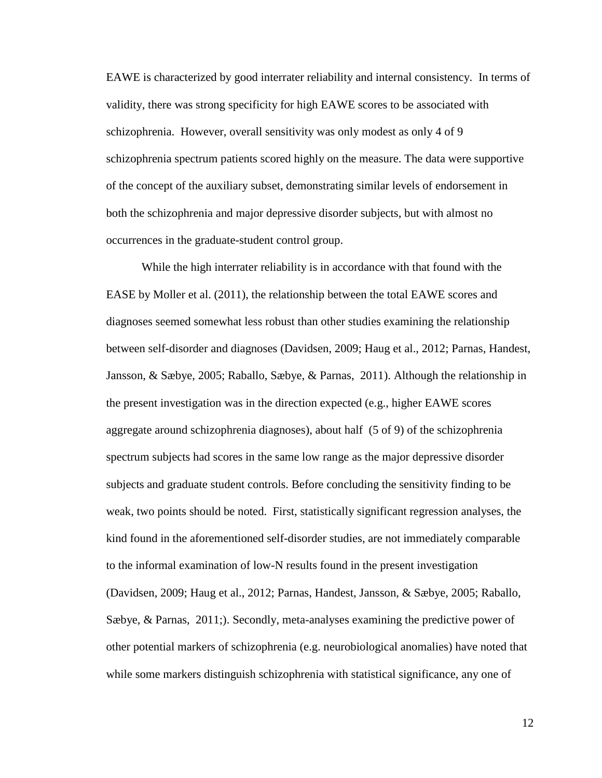EAWE is characterized by good interrater reliability and internal consistency. In terms of validity, there was strong specificity for high EAWE scores to be associated with schizophrenia. However, overall sensitivity was only modest as only 4 of 9 schizophrenia spectrum patients scored highly on the measure. The data were supportive of the concept of the auxiliary subset, demonstrating similar levels of endorsement in both the schizophrenia and major depressive disorder subjects, but with almost no occurrences in the graduate-student control group.

While the high interrater reliability is in accordance with that found with the EASE by Moller et al. (2011), the relationship between the total EAWE scores and diagnoses seemed somewhat less robust than other studies examining the relationship between self-disorder and diagnoses (Davidsen, 2009; Haug et al., 2012; Parnas, Handest, Jansson, & Sæbye, 2005; Raballo, Sæbye, & Parnas, 2011). Although the relationship in the present investigation was in the direction expected (e.g., higher EAWE scores aggregate around schizophrenia diagnoses), about half (5 of 9) of the schizophrenia spectrum subjects had scores in the same low range as the major depressive disorder subjects and graduate student controls. Before concluding the sensitivity finding to be weak, two points should be noted. First, statistically significant regression analyses, the kind found in the aforementioned self-disorder studies, are not immediately comparable to the informal examination of low-N results found in the present investigation (Davidsen, 2009; Haug et al., 2012; Parnas, Handest, Jansson, & Sæbye, 2005; Raballo, Sæbye, & Parnas, 2011;). Secondly, meta-analyses examining the predictive power of other potential markers of schizophrenia (e.g. neurobiological anomalies) have noted that while some markers distinguish schizophrenia with statistical significance, any one of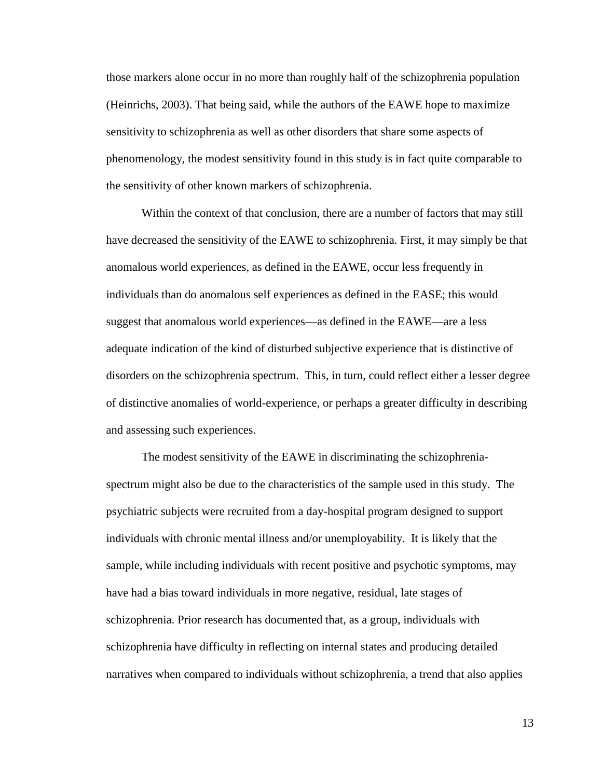those markers alone occur in no more than roughly half of the schizophrenia population (Heinrichs, 2003). That being said, while the authors of the EAWE hope to maximize sensitivity to schizophrenia as well as other disorders that share some aspects of phenomenology, the modest sensitivity found in this study is in fact quite comparable to the sensitivity of other known markers of schizophrenia.

Within the context of that conclusion, there are a number of factors that may still have decreased the sensitivity of the EAWE to schizophrenia. First, it may simply be that anomalous world experiences, as defined in the EAWE, occur less frequently in individuals than do anomalous self experiences as defined in the EASE; this would suggest that anomalous world experiences—as defined in the EAWE—are a less adequate indication of the kind of disturbed subjective experience that is distinctive of disorders on the schizophrenia spectrum. This, in turn, could reflect either a lesser degree of distinctive anomalies of world-experience, or perhaps a greater difficulty in describing and assessing such experiences.

The modest sensitivity of the EAWE in discriminating the schizophreniaspectrum might also be due to the characteristics of the sample used in this study. The psychiatric subjects were recruited from a day-hospital program designed to support individuals with chronic mental illness and/or unemployability. It is likely that the sample, while including individuals with recent positive and psychotic symptoms, may have had a bias toward individuals in more negative, residual, late stages of schizophrenia. Prior research has documented that, as a group, individuals with schizophrenia have difficulty in reflecting on internal states and producing detailed narratives when compared to individuals without schizophrenia, a trend that also applies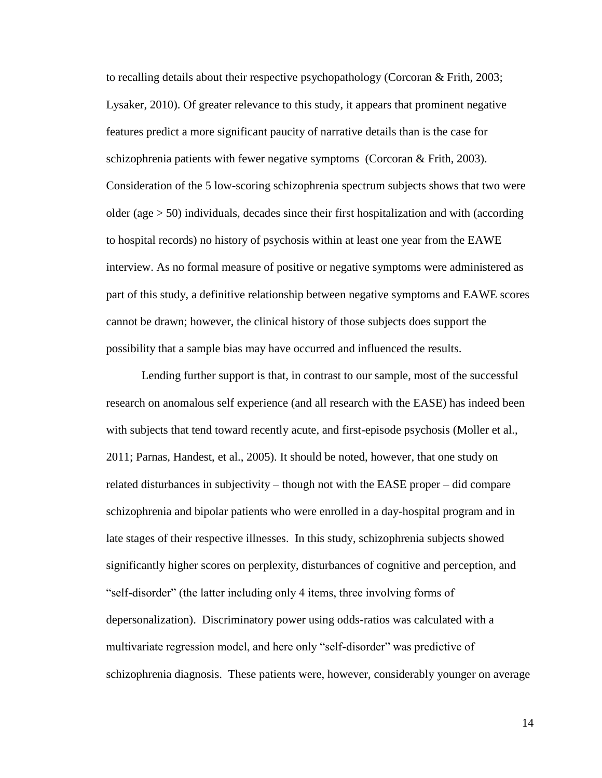to recalling details about their respective psychopathology (Corcoran & Frith, 2003; Lysaker, 2010). Of greater relevance to this study, it appears that prominent negative features predict a more significant paucity of narrative details than is the case for schizophrenia patients with fewer negative symptoms (Corcoran & Frith, 2003). Consideration of the 5 low-scoring schizophrenia spectrum subjects shows that two were older (age  $>$  50) individuals, decades since their first hospitalization and with (according to hospital records) no history of psychosis within at least one year from the EAWE interview. As no formal measure of positive or negative symptoms were administered as part of this study, a definitive relationship between negative symptoms and EAWE scores cannot be drawn; however, the clinical history of those subjects does support the possibility that a sample bias may have occurred and influenced the results.

Lending further support is that, in contrast to our sample, most of the successful research on anomalous self experience (and all research with the EASE) has indeed been with subjects that tend toward recently acute, and first-episode psychosis (Moller et al., 2011; Parnas, Handest, et al., 2005). It should be noted, however, that one study on related disturbances in subjectivity – though not with the EASE proper – did compare schizophrenia and bipolar patients who were enrolled in a day-hospital program and in late stages of their respective illnesses. In this study, schizophrenia subjects showed significantly higher scores on perplexity, disturbances of cognitive and perception, and "self-disorder" (the latter including only 4 items, three involving forms of depersonalization). Discriminatory power using odds-ratios was calculated with a multivariate regression model, and here only "self-disorder" was predictive of schizophrenia diagnosis. These patients were, however, considerably younger on average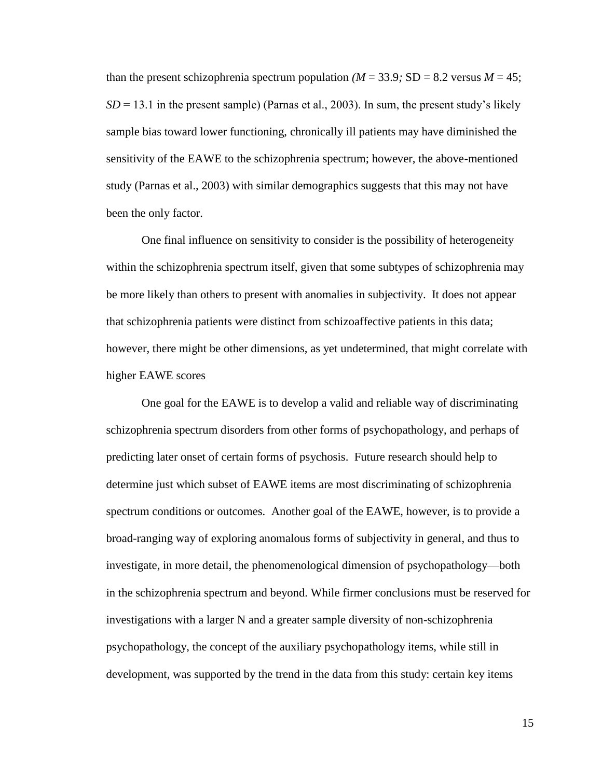than the present schizophrenia spectrum population  $(M = 33.9; SD = 8.2$  versus  $M = 45$ ;  $SD = 13.1$  in the present sample) (Parnas et al., 2003). In sum, the present study's likely sample bias toward lower functioning, chronically ill patients may have diminished the sensitivity of the EAWE to the schizophrenia spectrum; however, the above-mentioned study (Parnas et al., 2003) with similar demographics suggests that this may not have been the only factor.

One final influence on sensitivity to consider is the possibility of heterogeneity within the schizophrenia spectrum itself, given that some subtypes of schizophrenia may be more likely than others to present with anomalies in subjectivity. It does not appear that schizophrenia patients were distinct from schizoaffective patients in this data; however, there might be other dimensions, as yet undetermined, that might correlate with higher EAWE scores

One goal for the EAWE is to develop a valid and reliable way of discriminating schizophrenia spectrum disorders from other forms of psychopathology, and perhaps of predicting later onset of certain forms of psychosis. Future research should help to determine just which subset of EAWE items are most discriminating of schizophrenia spectrum conditions or outcomes. Another goal of the EAWE, however, is to provide a broad-ranging way of exploring anomalous forms of subjectivity in general, and thus to investigate, in more detail, the phenomenological dimension of psychopathology—both in the schizophrenia spectrum and beyond. While firmer conclusions must be reserved for investigations with a larger N and a greater sample diversity of non-schizophrenia psychopathology, the concept of the auxiliary psychopathology items, while still in development, was supported by the trend in the data from this study: certain key items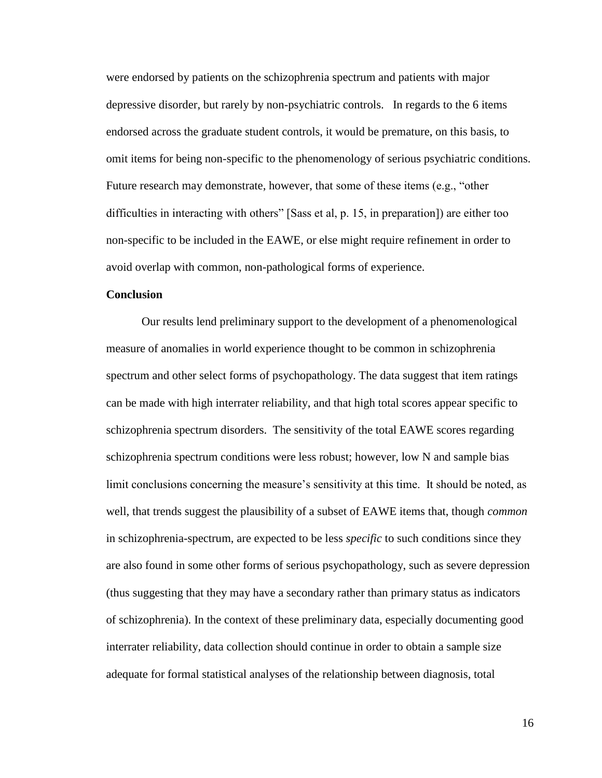were endorsed by patients on the schizophrenia spectrum and patients with major depressive disorder, but rarely by non-psychiatric controls. In regards to the 6 items endorsed across the graduate student controls, it would be premature, on this basis, to omit items for being non-specific to the phenomenology of serious psychiatric conditions. Future research may demonstrate, however, that some of these items (e.g., "other difficulties in interacting with others" [Sass et al, p. 15, in preparation]) are either too non-specific to be included in the EAWE, or else might require refinement in order to avoid overlap with common, non-pathological forms of experience.

### **Conclusion**

Our results lend preliminary support to the development of a phenomenological measure of anomalies in world experience thought to be common in schizophrenia spectrum and other select forms of psychopathology. The data suggest that item ratings can be made with high interrater reliability, and that high total scores appear specific to schizophrenia spectrum disorders. The sensitivity of the total EAWE scores regarding schizophrenia spectrum conditions were less robust; however, low N and sample bias limit conclusions concerning the measure's sensitivity at this time. It should be noted, as well, that trends suggest the plausibility of a subset of EAWE items that, though *common*  in schizophrenia-spectrum, are expected to be less *specific* to such conditions since they are also found in some other forms of serious psychopathology, such as severe depression (thus suggesting that they may have a secondary rather than primary status as indicators of schizophrenia). In the context of these preliminary data, especially documenting good interrater reliability, data collection should continue in order to obtain a sample size adequate for formal statistical analyses of the relationship between diagnosis, total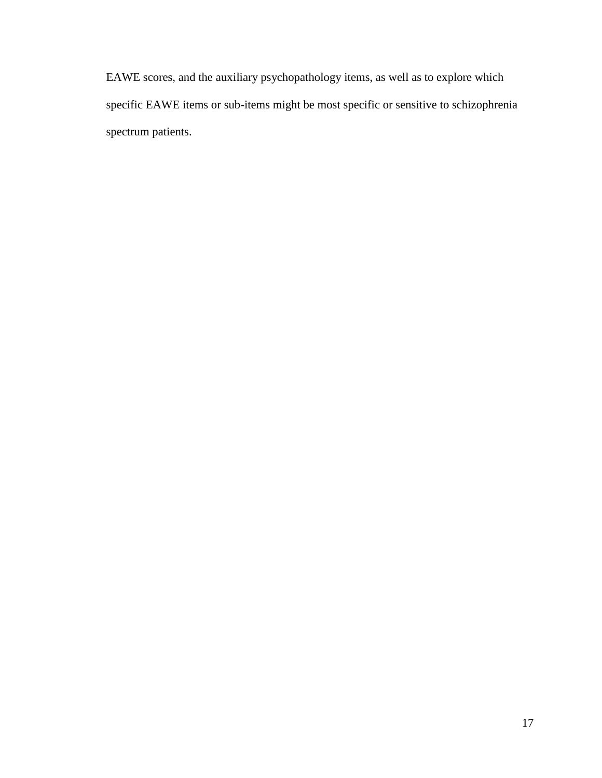EAWE scores, and the auxiliary psychopathology items, as well as to explore which specific EAWE items or sub-items might be most specific or sensitive to schizophrenia spectrum patients.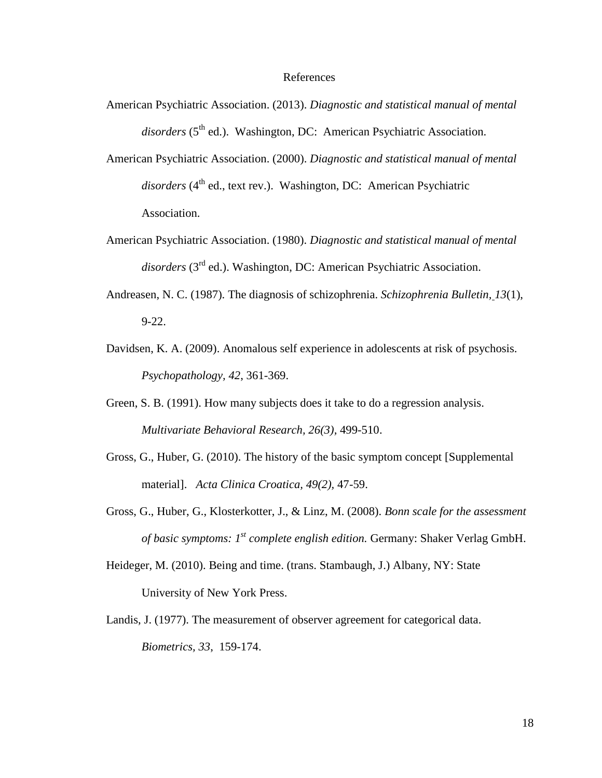#### References

- American Psychiatric Association. (2013). *Diagnostic and statistical manual of mental*  disorders (5<sup>th</sup> ed.). Washington, DC: American Psychiatric Association.
- American Psychiatric Association. (2000). *Diagnostic and statistical manual of mental*  disorders (4<sup>th</sup> ed., text rev.). Washington, DC: American Psychiatric Association.
- American Psychiatric Association. (1980). *Diagnostic and statistical manual of mental*  disorders (3<sup>rd</sup> ed.). Washington, DC: American Psychiatric Association.
- Andreasen, N. C. (1987). The diagnosis of schizophrenia. *Schizophrenia Bulletin, 13*(1), 9-22.
- Davidsen, K. A. (2009). Anomalous self experience in adolescents at risk of psychosis. *Psychopathology, 42*, 361-369.
- Green, S. B. (1991). How many subjects does it take to do a regression analysis. *Multivariate Behavioral Research, 26(3),* 499-510.
- Gross, G., Huber, G. (2010). The history of the basic symptom concept [Supplemental material]. *Acta Clinica Croatica, 49(2),* 47-59.
- Gross, G., Huber, G., Klosterkotter, J., & Linz, M. (2008). *Bonn scale for the assessment of basic symptoms: 1st complete english edition.* Germany: Shaker Verlag GmbH.
- Heideger, M. (2010). Being and time. (trans. Stambaugh, J.) Albany, NY: State University of New York Press.
- Landis, J. (1977). The measurement of observer agreement for categorical data. *Biometrics, 33*, 159-174.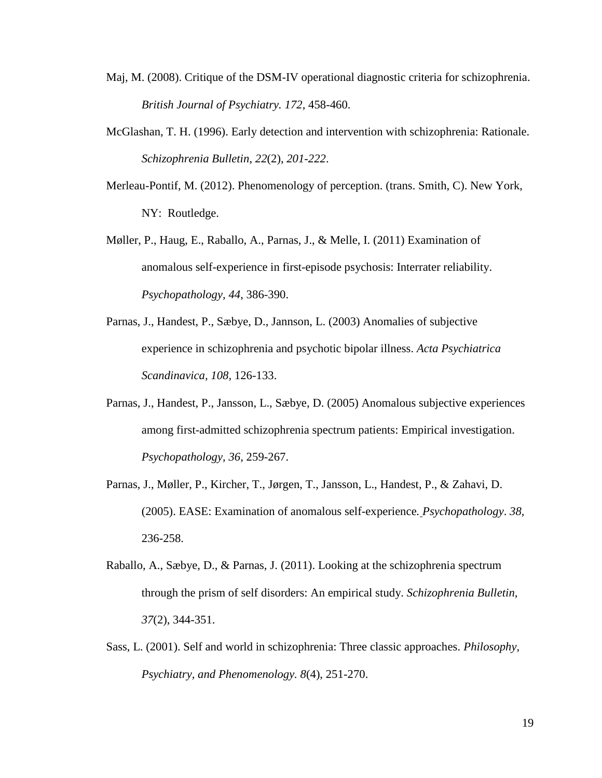- Maj, M. (2008). Critique of the DSM-IV operational diagnostic criteria for schizophrenia. *British Journal of Psychiatry. 172*, 458-460.
- McGlashan, T. H. (1996). Early detection and intervention with schizophrenia: Rationale. *Schizophrenia Bulletin*, *22*(2), *201-222*.
- Merleau-Pontif, M. (2012). Phenomenology of perception. (trans. Smith, C). New York, NY: Routledge.
- Møller, P., Haug, E., Raballo, A., Parnas, J., & Melle, I. (2011) Examination of anomalous self-experience in first-episode psychosis: Interrater reliability. *Psychopathology, 44*, 386-390.
- Parnas, J., Handest, P., Sæbye, D., Jannson, L. (2003) Anomalies of subjective experience in schizophrenia and psychotic bipolar illness. *Acta Psychiatrica Scandinavica, 108,* 126-133.
- Parnas, J., Handest, P., Jansson, L., Sæbye, D. (2005) Anomalous subjective experiences among first-admitted schizophrenia spectrum patients: Empirical investigation. *Psychopathology, 36*, 259-267.
- Parnas, J., Møller, P., Kircher, T., Jørgen, T., Jansson, L., Handest, P., & Zahavi, D. (2005). EASE: Examination of anomalous self-experience*. Psychopathology*. *38,* 236-258.
- Raballo, A., Sæbye, D., & Parnas, J. (2011). Looking at the schizophrenia spectrum through the prism of self disorders: An empirical study. *Schizophrenia Bulletin, 37*(2), 344-351.
- Sass, L. (2001). Self and world in schizophrenia: Three classic approaches. *Philosophy, Psychiatry, and Phenomenology. 8*(4), 251-270.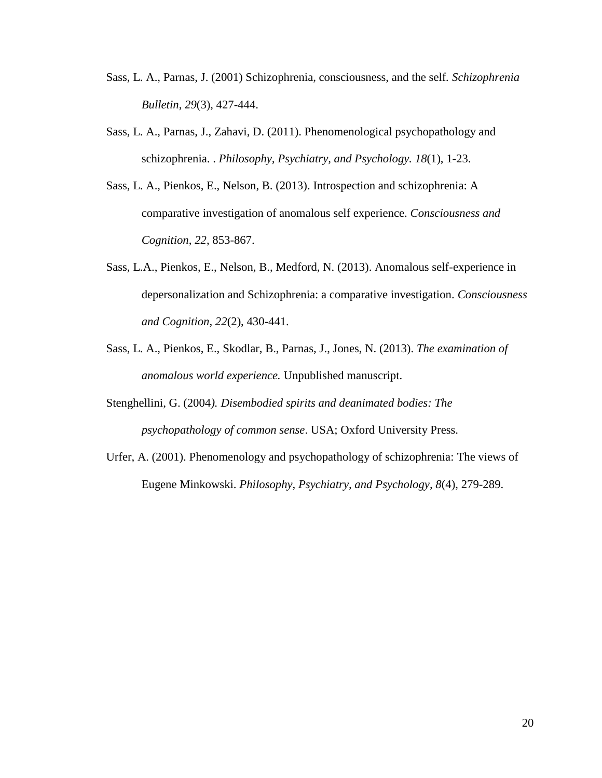- Sass, L. A., Parnas, J. (2001) Schizophrenia, consciousness, and the self*. Schizophrenia Bulletin*, *29*(3), 427-444.
- Sass, L. A., Parnas, J., Zahavi, D. (2011). Phenomenological psychopathology and schizophrenia. . *Philosophy, Psychiatry, and Psychology. 18*(1), 1-23.
- Sass, L. A., Pienkos, E., Nelson, B. (2013). Introspection and schizophrenia: A comparative investigation of anomalous self experience. *Consciousness and Cognition*, *22*, 853-867.
- Sass, L.A., Pienkos, E., Nelson, B., Medford, N. (2013). Anomalous self-experience in depersonalization and Schizophrenia: a comparative investigation. *Consciousness and Cognition, 22*(2), 430-441.
- Sass, L. A., Pienkos, E., Skodlar, B., Parnas, J., Jones, N. (2013). *The examination of anomalous world experience.* Unpublished manuscript.
- Stenghellini, G. (2004*). Disembodied spirits and deanimated bodies: The psychopathology of common sense*. USA; Oxford University Press.
- Urfer, A. (2001). Phenomenology and psychopathology of schizophrenia: The views of Eugene Minkowski. *Philosophy, Psychiatry, and Psychology, 8*(4), 279-289.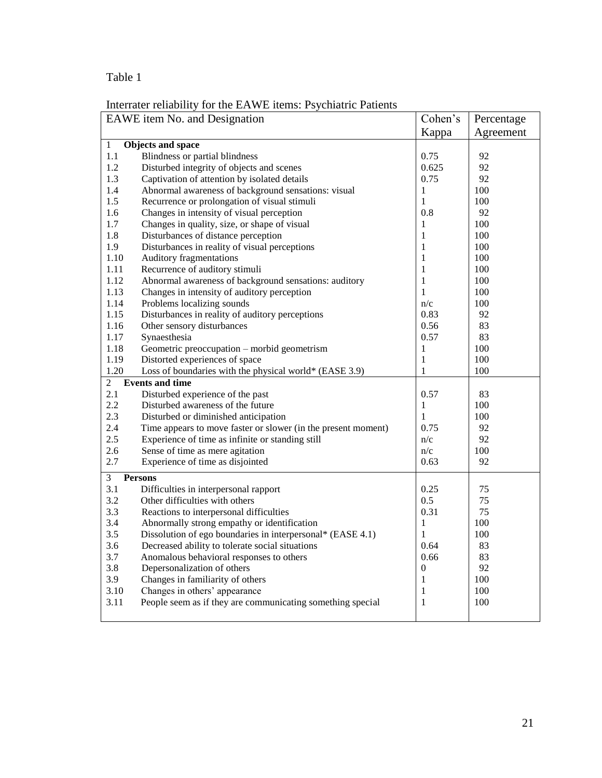# Table 1

| Interrater reliability for the EAWE items: Psychiatric Patients |  |
|-----------------------------------------------------------------|--|
|                                                                 |  |

| EAWE item No. and Designation |                                                               | Cohen's      | Percentage |
|-------------------------------|---------------------------------------------------------------|--------------|------------|
|                               |                                                               | Kappa        | Agreement  |
| $\mathbf{1}$                  | <b>Objects and space</b>                                      |              |            |
| 1.1                           | Blindness or partial blindness                                | 0.75         | 92         |
| 1.2                           | Disturbed integrity of objects and scenes                     | 0.625        | 92         |
| 1.3                           | Captivation of attention by isolated details                  | 0.75         | 92         |
| 1.4                           | Abnormal awareness of background sensations: visual           | 1            | 100        |
| 1.5                           | Recurrence or prolongation of visual stimuli                  | 1            | 100        |
| 1.6                           | Changes in intensity of visual perception                     | 0.8          | 92         |
| 1.7                           | Changes in quality, size, or shape of visual                  | 1            | 100        |
| 1.8                           | Disturbances of distance perception                           | 1            | 100        |
| 1.9                           | Disturbances in reality of visual perceptions                 | 1            | 100        |
| 1.10                          | <b>Auditory fragmentations</b>                                | 1            | 100        |
| 1.11                          | Recurrence of auditory stimuli                                | 1            | 100        |
| 1.12                          | Abnormal awareness of background sensations: auditory         | 1            | 100        |
| 1.13                          | Changes in intensity of auditory perception                   | 1            | 100        |
| 1.14                          | Problems localizing sounds                                    | n/c          | 100        |
| 1.15                          | Disturbances in reality of auditory perceptions               | 0.83         | 92         |
| 1.16                          | Other sensory disturbances                                    | 0.56         | 83         |
| 1.17                          | Synaesthesia                                                  | 0.57         | 83         |
| 1.18                          | Geometric preoccupation - morbid geometrism                   | $\mathbf{1}$ | 100        |
| 1.19                          | Distorted experiences of space                                | $\mathbf{1}$ | 100        |
| 1.20                          | Loss of boundaries with the physical world* (EASE 3.9)        | 1            | 100        |
| $\overline{2}$                | <b>Events and time</b>                                        |              |            |
| 2.1                           | Disturbed experience of the past                              | 0.57         | 83         |
| 2.2                           | Disturbed awareness of the future                             | 1            | 100        |
| 2.3                           | Disturbed or diminished anticipation                          | 1            | 100        |
| 2.4                           | Time appears to move faster or slower (in the present moment) | 0.75         | 92         |
| 2.5                           | Experience of time as infinite or standing still              | n/c          | 92         |
| 2.6                           | Sense of time as mere agitation                               | n/c          | 100        |
| 2.7                           | Experience of time as disjointed                              | 0.63         | 92         |
| 3                             | <b>Persons</b>                                                |              |            |
| 3.1                           | Difficulties in interpersonal rapport                         | 0.25         | 75         |
| 3.2                           | Other difficulties with others                                | 0.5          | 75         |
| 3.3                           | Reactions to interpersonal difficulties                       | 0.31         | 75         |
| 3.4                           | Abnormally strong empathy or identification                   | 1            | 100        |
| 3.5                           | Dissolution of ego boundaries in interpersonal* (EASE 4.1)    | 1            | 100        |
| 3.6                           | Decreased ability to tolerate social situations               | 0.64         | 83         |
| 3.7                           | Anomalous behavioral responses to others                      | 0.66         | 83         |
| 3.8                           | Depersonalization of others                                   | 0            | 92         |
| 3.9                           | Changes in familiarity of others                              | 1            | 100        |
| 3.10                          | Changes in others' appearance                                 | 1            | 100        |
| 3.11                          | People seem as if they are communicating something special    | 1            | 100        |
|                               |                                                               |              |            |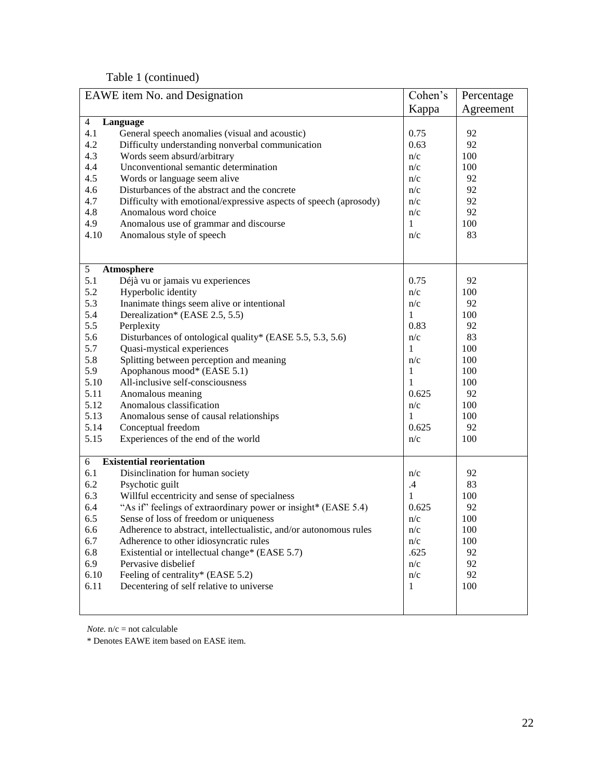Table 1 (continued)

| EAWE item No. and Designation |                                                                   | Cohen's     | Percentage |
|-------------------------------|-------------------------------------------------------------------|-------------|------------|
|                               |                                                                   | Kappa       | Agreement  |
| $\overline{4}$                | Language                                                          |             |            |
| 4.1                           | General speech anomalies (visual and acoustic)                    | 0.75        | 92         |
| 4.2                           | Difficulty understanding nonverbal communication                  | 0.63        | 92         |
| 4.3                           | Words seem absurd/arbitrary                                       | n/c         | 100        |
| 4.4                           | Unconventional semantic determination                             | n/c         | 100        |
| 4.5                           | Words or language seem alive                                      | n/c         | 92         |
| 4.6                           | Disturbances of the abstract and the concrete                     | n/c         | 92         |
| 4.7                           | Difficulty with emotional/expressive aspects of speech (aprosody) | n/c         | 92         |
| 4.8                           | Anomalous word choice                                             | n/c         | 92         |
| 4.9                           | Anomalous use of grammar and discourse                            | 1           | 100        |
| 4.10                          | Anomalous style of speech                                         | n/c         | 83         |
|                               |                                                                   |             |            |
|                               |                                                                   |             |            |
| 5                             | Atmosphere                                                        |             |            |
| 5.1                           | Déjà vu or jamais vu experiences                                  | 0.75        | 92         |
| 5.2                           | Hyperbolic identity                                               | n/c         | 100        |
| 5.3                           | Inanimate things seem alive or intentional                        | n/c         | 92         |
| 5.4                           | Derealization* (EASE 2.5, 5.5)                                    | 1           | 100        |
| 5.5                           | Perplexity                                                        | 0.83        | 92         |
| 5.6                           | Disturbances of ontological quality* (EASE 5.5, 5.3, 5.6)         | n/c         | 83         |
| 5.7                           | Quasi-mystical experiences                                        | 1           | 100        |
| 5.8                           | Splitting between perception and meaning                          | n/c         | 100        |
| 5.9                           | Apophanous mood* (EASE 5.1)                                       | 1           | 100        |
| 5.10                          | All-inclusive self-consciousness                                  | 1           | 100        |
| 5.11                          | Anomalous meaning                                                 | 0.625       | 92         |
| 5.12                          | Anomalous classification                                          | n/c         | 100        |
| 5.13                          | Anomalous sense of causal relationships                           | $\mathbf 1$ | 100        |
| 5.14                          | Conceptual freedom                                                | 0.625       | 92         |
| 5.15                          | Experiences of the end of the world                               | n/c         | 100        |
|                               |                                                                   |             |            |
| 6                             | <b>Existential reorientation</b>                                  |             |            |
| 6.1                           | Disinclination for human society                                  | n/c         | 92         |
| 6.2                           | Psychotic guilt                                                   | .4          | 83         |
| 6.3                           | Willful eccentricity and sense of specialness                     | 1           | 100        |
| 6.4                           | "As if" feelings of extraordinary power or insight* (EASE 5.4)    | 0.625       | 92         |
| 6.5                           | Sense of loss of freedom or uniqueness                            | n/c         | 100        |
| 6.6                           | Adherence to abstract, intellectualistic, and/or autonomous rules | n/c         | 100        |
| 6.7                           | Adherence to other idiosyncratic rules                            | n/c         | 100        |
| 6.8                           | Existential or intellectual change* (EASE 5.7)                    | .625        | 92         |
| 6.9                           | Pervasive disbelief                                               | n/c         | 92         |
| 6.10                          | Feeling of centrality* (EASE 5.2)                                 | n/c         | 92         |
| 6.11                          | Decentering of self relative to universe                          | 1           | 100        |
|                               |                                                                   |             |            |
|                               |                                                                   |             |            |

*Note.* n/c = not calculable

\* Denotes EAWE item based on EASE item.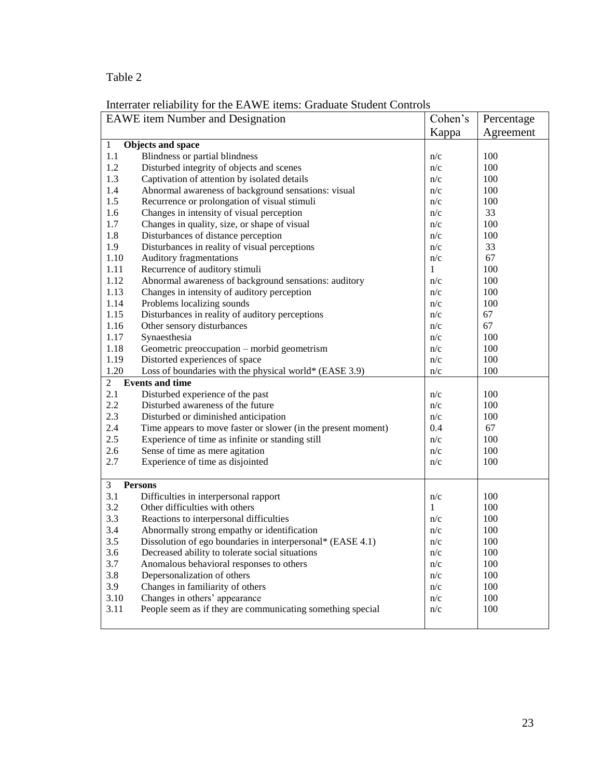# Table 2

| merrater remainity for the ETTWE nemb. Shadaate bradent Compons<br><b>EAWE</b> item Number and Designation |                                                                                             | Cohen's | Percentage |  |
|------------------------------------------------------------------------------------------------------------|---------------------------------------------------------------------------------------------|---------|------------|--|
|                                                                                                            |                                                                                             | Kappa   | Agreement  |  |
| 1                                                                                                          | <b>Objects and space</b>                                                                    |         |            |  |
| 1.1                                                                                                        | Blindness or partial blindness                                                              | n/c     | 100        |  |
| 1.2                                                                                                        | Disturbed integrity of objects and scenes                                                   | n/c     | 100        |  |
| 1.3                                                                                                        | Captivation of attention by isolated details                                                | n/c     | 100        |  |
| 1.4                                                                                                        | Abnormal awareness of background sensations: visual                                         | n/c     | 100        |  |
| 1.5                                                                                                        | Recurrence or prolongation of visual stimuli                                                | n/c     | 100        |  |
| 1.6                                                                                                        | Changes in intensity of visual perception                                                   | n/c     | 33         |  |
| 1.7                                                                                                        | Changes in quality, size, or shape of visual                                                | n/c     | 100        |  |
| 1.8                                                                                                        | Disturbances of distance perception                                                         | n/c     | 100        |  |
| 1.9                                                                                                        | Disturbances in reality of visual perceptions                                               | n/c     | 33         |  |
| 1.10                                                                                                       |                                                                                             | n/c     | 67         |  |
| 1.11                                                                                                       | Auditory fragmentations                                                                     | 1       | 100        |  |
|                                                                                                            | Recurrence of auditory stimuli                                                              |         |            |  |
| 1.12                                                                                                       | Abnormal awareness of background sensations: auditory                                       | n/c     | 100        |  |
| 1.13                                                                                                       | Changes in intensity of auditory perception                                                 | n/c     | 100        |  |
| 1.14                                                                                                       | Problems localizing sounds                                                                  | n/c     | 100        |  |
| 1.15                                                                                                       | Disturbances in reality of auditory perceptions                                             | n/c     | 67         |  |
| 1.16                                                                                                       | Other sensory disturbances                                                                  | n/c     | 67         |  |
| 1.17                                                                                                       | Synaesthesia                                                                                | n/c     | 100        |  |
| 1.18                                                                                                       | Geometric preoccupation - morbid geometrism                                                 | n/c     | 100        |  |
| 1.19                                                                                                       | Distorted experiences of space                                                              | n/c     | 100        |  |
| 1.20<br>Loss of boundaries with the physical world* (EASE 3.9)                                             |                                                                                             | n/c     | 100        |  |
| $\overline{c}$                                                                                             | <b>Events and time</b>                                                                      |         |            |  |
| 2.1                                                                                                        | Disturbed experience of the past                                                            | n/c     | 100        |  |
| 2.2                                                                                                        | Disturbed awareness of the future                                                           | n/c     | 100        |  |
| 2.3                                                                                                        | Disturbed or diminished anticipation                                                        | n/c     | 100        |  |
| 2.4                                                                                                        | Time appears to move faster or slower (in the present moment)                               | 0.4     | 67         |  |
| 2.5                                                                                                        | Experience of time as infinite or standing still                                            | n/c     | 100        |  |
| 2.6                                                                                                        | Sense of time as mere agitation                                                             | n/c     | 100        |  |
| 2.7                                                                                                        | Experience of time as disjointed                                                            | n/c     | 100        |  |
| 3                                                                                                          | <b>Persons</b>                                                                              |         |            |  |
| 3.1                                                                                                        | Difficulties in interpersonal rapport                                                       | n/c     | 100        |  |
| 3.2                                                                                                        | Other difficulties with others                                                              | 1       | 100        |  |
| 3.3                                                                                                        | Reactions to interpersonal difficulties                                                     | n/c     | 100        |  |
| 3.4                                                                                                        | Abnormally strong empathy or identification                                                 | n/c     | 100        |  |
| 3.5                                                                                                        | Dissolution of ego boundaries in interpersonal* (EASE 4.1)                                  | n/c     | 100        |  |
| 3.6                                                                                                        | Decreased ability to tolerate social situations                                             | n/c     | 100        |  |
| 3.7                                                                                                        | Anomalous behavioral responses to others                                                    | n/c     | 100        |  |
| 3.8                                                                                                        | Depersonalization of others                                                                 | n/c     | 100        |  |
| 3.9                                                                                                        |                                                                                             | n/c     | 100        |  |
|                                                                                                            | Changes in familiarity of others                                                            |         | 100        |  |
| 3.10                                                                                                       | Changes in others' appearance<br>People seem as if they are communicating something special | n/c     | 100        |  |
| 3.11                                                                                                       |                                                                                             | n/c     |            |  |

Interrater reliability for the EAWE items: Graduate Student Controls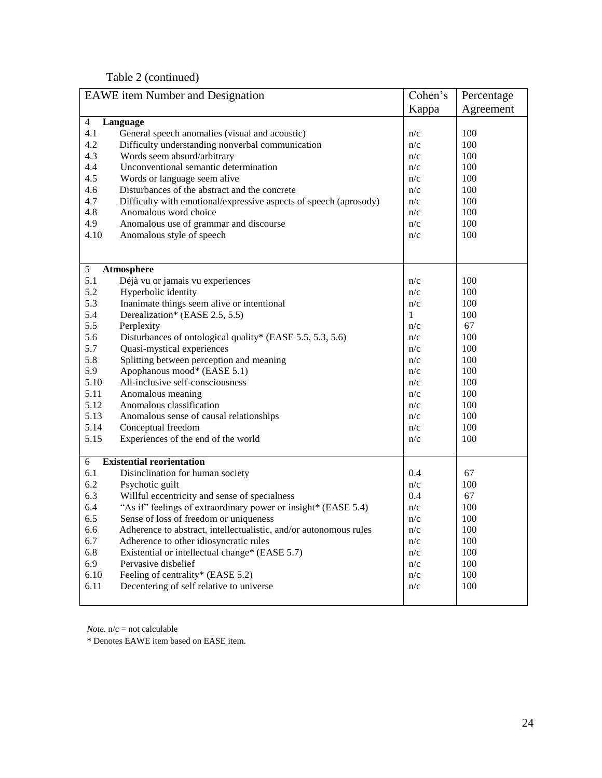Table 2 (continued)

| <b>EAWE</b> item Number and Designation |                                                                   | Cohen's | Percentage |  |  |
|-----------------------------------------|-------------------------------------------------------------------|---------|------------|--|--|
|                                         |                                                                   | Kappa   | Agreement  |  |  |
| $\overline{4}$                          | Language                                                          |         |            |  |  |
| 4.1                                     | General speech anomalies (visual and acoustic)                    | n/c     | 100        |  |  |
| 4.2                                     | Difficulty understanding nonverbal communication                  | n/c     | 100        |  |  |
| 4.3                                     | Words seem absurd/arbitrary                                       | n/c     | 100        |  |  |
| 4.4                                     | Unconventional semantic determination                             | n/c     | 100        |  |  |
| 4.5                                     | Words or language seem alive                                      | n/c     | 100        |  |  |
| 4.6                                     | Disturbances of the abstract and the concrete                     | n/c     | 100        |  |  |
| 4.7                                     | Difficulty with emotional/expressive aspects of speech (aprosody) | n/c     | 100        |  |  |
| 4.8                                     | Anomalous word choice                                             | n/c     | 100        |  |  |
| 4.9                                     | Anomalous use of grammar and discourse                            | n/c     | 100        |  |  |
| 4.10                                    | Anomalous style of speech                                         | n/c     | 100        |  |  |
|                                         |                                                                   |         |            |  |  |
|                                         |                                                                   |         |            |  |  |
| 5                                       | Atmosphere                                                        |         |            |  |  |
| 5.1                                     | Déjà vu or jamais vu experiences                                  | n/c     | 100        |  |  |
| 5.2                                     | Hyperbolic identity                                               | n/c     | 100        |  |  |
| 5.3                                     | Inanimate things seem alive or intentional                        | n/c     | 100        |  |  |
| 5.4                                     | Derealization* (EASE 2.5, 5.5)                                    | 1       | 100        |  |  |
| 5.5                                     | Perplexity                                                        | n/c     | 67         |  |  |
| 5.6                                     | Disturbances of ontological quality* (EASE 5.5, 5.3, 5.6)         | n/c     | 100        |  |  |
| 5.7                                     | Quasi-mystical experiences                                        | n/c     | 100        |  |  |
| 5.8                                     | Splitting between perception and meaning                          | n/c     | 100        |  |  |
| 5.9                                     | Apophanous mood* (EASE 5.1)                                       | n/c     | 100        |  |  |
| 5.10                                    | All-inclusive self-consciousness                                  | n/c     | 100        |  |  |
| 5.11                                    | Anomalous meaning                                                 | n/c     | 100        |  |  |
| 5.12                                    | Anomalous classification                                          | n/c     | 100        |  |  |
| 5.13                                    | Anomalous sense of causal relationships                           | n/c     | 100        |  |  |
| 5.14                                    | Conceptual freedom                                                | n/c     | 100        |  |  |
| 5.15                                    | Experiences of the end of the world                               | n/c     | 100        |  |  |
|                                         |                                                                   |         |            |  |  |
| 6                                       | <b>Existential reorientation</b>                                  |         |            |  |  |
| 6.1<br>6.2                              | Disinclination for human society                                  | 0.4     | 67         |  |  |
|                                         | Psychotic guilt                                                   | n/c     | 100        |  |  |
| 6.3                                     | Willful eccentricity and sense of specialness                     | 0.4     | 67         |  |  |
| 6.4                                     | "As if" feelings of extraordinary power or insight* (EASE 5.4)    | n/c     | 100        |  |  |
| 6.5                                     | Sense of loss of freedom or uniqueness                            | n/c     | 100        |  |  |
| 6.6                                     | Adherence to abstract, intellectualistic, and/or autonomous rules | n/c     | 100        |  |  |
| 6.7                                     | Adherence to other idiosyncratic rules                            | n/c     | 100        |  |  |
| 6.8                                     | Existential or intellectual change* (EASE 5.7)                    | n/c     | 100        |  |  |
| 6.9                                     | Pervasive disbelief                                               | n/c     | 100        |  |  |
| 6.10                                    | Feeling of centrality* (EASE 5.2)                                 | n/c     | 100        |  |  |
| 6.11                                    | Decentering of self relative to universe                          | n/c     | 100        |  |  |
|                                         |                                                                   |         |            |  |  |

*Note.* n/c = not calculable

\* Denotes EAWE item based on EASE item.